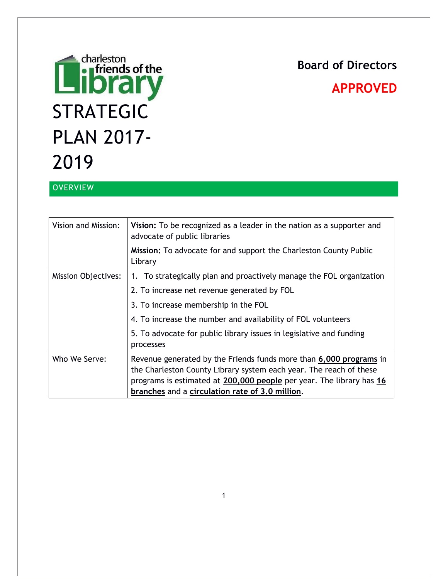# **Board of Directors**

# **Entertained Settle**<br> **Entertainment STRATEGIC** PLAN 2017- 2019

# **APPROVED**

# **OVERVIEW**

| Vision and Mission:        | Vision: To be recognized as a leader in the nation as a supporter and<br>advocate of public libraries                                                                                                                                                               |
|----------------------------|---------------------------------------------------------------------------------------------------------------------------------------------------------------------------------------------------------------------------------------------------------------------|
|                            | <b>Mission:</b> To advocate for and support the Charleston County Public<br>Library                                                                                                                                                                                 |
| <b>Mission Objectives:</b> | 1. To strategically plan and proactively manage the FOL organization                                                                                                                                                                                                |
|                            | 2. To increase net revenue generated by FOL                                                                                                                                                                                                                         |
|                            | 3. To increase membership in the FOL                                                                                                                                                                                                                                |
|                            | 4. To increase the number and availability of FOL volunteers                                                                                                                                                                                                        |
|                            | 5. To advocate for public library issues in legislative and funding<br>processes                                                                                                                                                                                    |
| Who We Serve:              | Revenue generated by the Friends funds more than 6,000 programs in<br>the Charleston County Library system each year. The reach of these<br>programs is estimated at 200,000 people per year. The library has 16<br>branches and a circulation rate of 3.0 million. |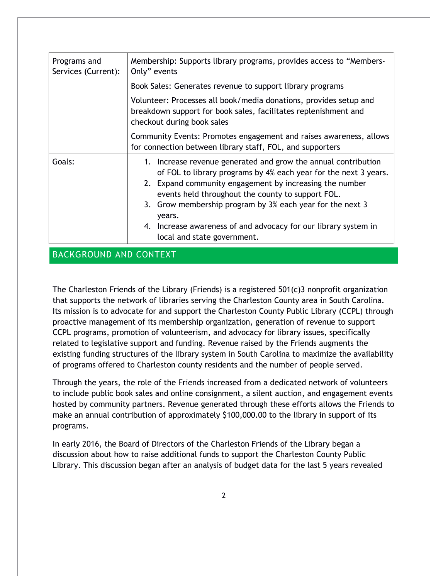| Programs and<br>Services (Current): | Membership: Supports library programs, provides access to "Members-<br>Only" events                                                                                                                                                                                                                                                                                                                                         |
|-------------------------------------|-----------------------------------------------------------------------------------------------------------------------------------------------------------------------------------------------------------------------------------------------------------------------------------------------------------------------------------------------------------------------------------------------------------------------------|
|                                     | Book Sales: Generates revenue to support library programs                                                                                                                                                                                                                                                                                                                                                                   |
|                                     | Volunteer: Processes all book/media donations, provides setup and<br>breakdown support for book sales, facilitates replenishment and<br>checkout during book sales                                                                                                                                                                                                                                                          |
|                                     | Community Events: Promotes engagement and raises awareness, allows<br>for connection between library staff, FOL, and supporters                                                                                                                                                                                                                                                                                             |
| Goals:                              | 1. Increase revenue generated and grow the annual contribution<br>of FOL to library programs by 4% each year for the next 3 years.<br>2. Expand community engagement by increasing the number<br>events held throughout the county to support FOL.<br>3. Grow membership program by 3% each year for the next 3<br>years.<br>4. Increase awareness of and advocacy for our library system in<br>local and state government. |

# BACKGROUND AND CONTEXT

The Charleston Friends of the Library (Friends) is a registered 501(c)3 nonprofit organization that supports the network of libraries serving the Charleston County area in South Carolina. Its mission is to advocate for and support the Charleston County Public Library (CCPL) through proactive management of its membership organization, generation of revenue to support CCPL programs, promotion of volunteerism, and advocacy for library issues, specifically related to legislative support and funding. Revenue raised by the Friends augments the existing funding structures of the library system in South Carolina to maximize the availability of programs offered to Charleston county residents and the number of people served.

Through the years, the role of the Friends increased from a dedicated network of volunteers to include public book sales and online consignment, a silent auction, and engagement events hosted by community partners. Revenue generated through these efforts allows the Friends to make an annual contribution of approximately \$100,000.00 to the library in support of its programs.

In early 2016, the Board of Directors of the Charleston Friends of the Library began a discussion about how to raise additional funds to support the Charleston County Public Library. This discussion began after an analysis of budget data for the last 5 years revealed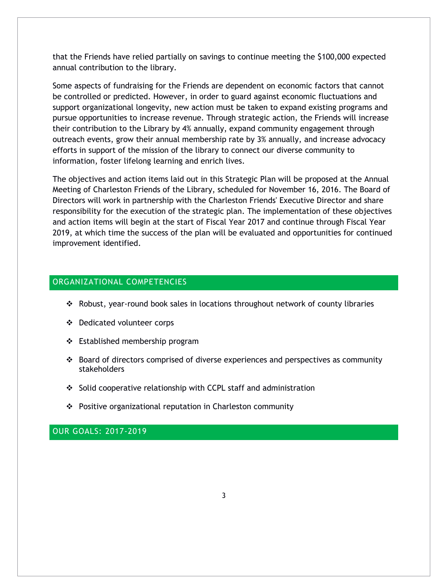that the Friends have relied partially on savings to continue meeting the \$100,000 expected annual contribution to the library.

Some aspects of fundraising for the Friends are dependent on economic factors that cannot be controlled or predicted. However, in order to guard against economic fluctuations and support organizational longevity, new action must be taken to expand existing programs and pursue opportunities to increase revenue. Through strategic action, the Friends will increase their contribution to the Library by 4% annually, expand community engagement through outreach events, grow their annual membership rate by 3% annually, and increase advocacy efforts in support of the mission of the library to connect our diverse community to information, foster lifelong learning and enrich lives.

The objectives and action items laid out in this Strategic Plan will be proposed at the Annual Meeting of Charleston Friends of the Library, scheduled for November 16, 2016. The Board of Directors will work in partnership with the Charleston Friends' Executive Director and share responsibility for the execution of the strategic plan. The implementation of these objectives and action items will begin at the start of Fiscal Year 2017 and continue through Fiscal Year 2019, at which time the success of the plan will be evaluated and opportunities for continued improvement identified.

#### ORGANIZATIONAL COMPETENCIES

- \* Robust, year-round book sales in locations throughout network of county libraries
- Dedicated volunteer corps
- ❖ Established membership program
- $\cdot$  Board of directors comprised of diverse experiences and perspectives as community stakeholders
- $\div$  Solid cooperative relationship with CCPL staff and administration
- Positive organizational reputation in Charleston community

OUR GOALS: 2017-2019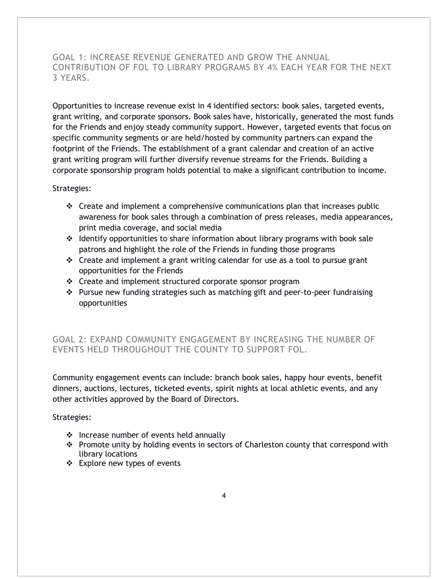## GOAL 1: INCREASE REVENUE GENERATED AND GROW THE ANNUAL CONTRIBUTION OF FOL TO LIBRARY PROGRAMS BY 4% EACH YEAR FOR THE NEXT 3 YEARS.

Opportunities to increase revenue exist in 4 identified sectors: book sales, targeted events, grant writing, and corporate sponsors. Book sales have, historically, generated the most funds for the Friends and enjoy steady community support. However, targeted events that focus on specific community segments or are held/hosted by community partners can expand the footprint of the Friends. The establishment of a grant calendar and creation of an active grant writing program will further diversify revenue streams for the Friends. Building a corporate sponsorship program holds potential to make a significant contribution to income.

#### Strategies:

- $\div$  Create and implement a comprehensive communications plan that increases public awareness for book sales through a combination of press releases, media appearances, print media coverage, and social media
- $\div$  Identify opportunities to share information about library programs with book sale patrons and highlight the role of the Friends in funding those programs
- $\cdot \cdot$  Create and implement a grant writing calendar for use as a tool to pursue grant opportunities for the Friends
- Create and implement structured corporate sponsor program
- Pursue new funding strategies such as matching gift and peer-to-peer fundraising opportunities

# GOAL 2: EXPAND COMMUNITY ENGAGEMENT BY INCREASING THE NUMBER OF EVENTS HELD THROUGHOUT THE COUNTY TO SUPPORT FOL.

Community engagement events can include: branch book sales, happy hour events, benefit dinners, auctions, lectures, ticketed events, spirit nights at local athletic events, and any other activities approved by the Board of Directors.

#### Strategies:

- $\div$  Increase number of events held annually
- \* Promote unity by holding events in sectors of Charleston county that correspond with library locations
- Explore new types of events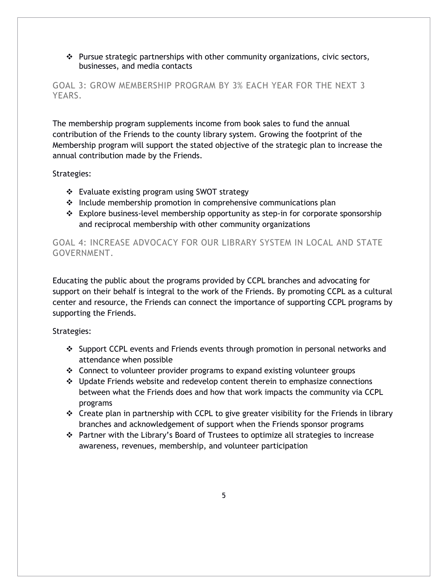$\cdot \cdot$  Pursue strategic partnerships with other community organizations, civic sectors, businesses, and media contacts

### GOAL 3: GROW MEMBERSHIP PROGRAM BY 3% EACH YEAR FOR THE NEXT 3 YEARS.

The membership program supplements income from book sales to fund the annual contribution of the Friends to the county library system. Growing the footprint of the Membership program will support the stated objective of the strategic plan to increase the annual contribution made by the Friends.

#### Strategies:

- Evaluate existing program using SWOT strategy
- \* Include membership promotion in comprehensive communications plan
- Explore business-level membership opportunity as step-in for corporate sponsorship and reciprocal membership with other community organizations

# GOAL 4: INCREASE ADVOCACY FOR OUR LIBRARY SYSTEM IN LOCAL AND STATE GOVERNMENT.

Educating the public about the programs provided by CCPL branches and advocating for support on their behalf is integral to the work of the Friends. By promoting CCPL as a cultural center and resource, the Friends can connect the importance of supporting CCPL programs by supporting the Friends.

#### Strategies:

- Support CCPL events and Friends events through promotion in personal networks and attendance when possible
- $\div$  Connect to volunteer provider programs to expand existing volunteer groups
- Update Friends website and redevelop content therein to emphasize connections between what the Friends does and how that work impacts the community via CCPL programs
- $\cdot \cdot$  Create plan in partnership with CCPL to give greater visibility for the Friends in library branches and acknowledgement of support when the Friends sponsor programs
- $\cdot \cdot$  Partner with the Library's Board of Trustees to optimize all strategies to increase awareness, revenues, membership, and volunteer participation